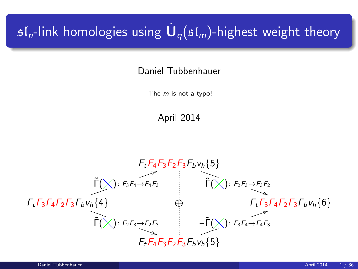# $\mathfrak{sl}_n$ -link homologies using  $\dot{\mathbf U}_q(\mathfrak{sl}_m)$ -highest weight theory

Daniel Tubbenhauer

The  $m$  is not a typo!

April 2014

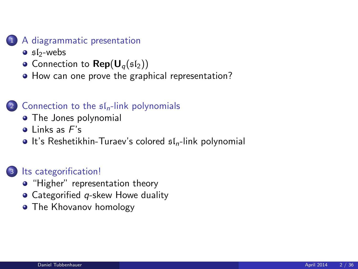### [A diagrammatic presentation](#page-2-0)

- $\bullet$  sl<sub>2</sub>[-webs](#page-2-0)
- [Connection to](#page-7-0)  $\mathsf{Rep}(\mathsf{U}_q(\mathfrak{sl}_2))$
- [How can one prove the graphical representation?](#page-11-0)

### [Connection to the](#page-15-0)  $f_n$ -link polynomials

- [The Jones polynomial](#page-15-0)
- $\bullet$  [Links as](#page-17-0)  $F's$
- $\bullet$  [It's Reshetikhin-Turaev's colored](#page-20-0)  $\mathfrak{sl}_n$ -link polynomial

### <sup>3</sup> [Its categorification!](#page-23-0)

- ["Higher" representation theory](#page-23-0)
- $\bullet$  Categorified q[-skew Howe duality](#page-26-0)
- [The Khovanov homology](#page-32-0)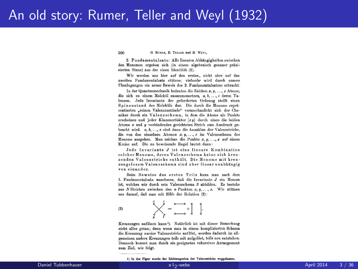## An old story: Rumer, Teller and Weyl (1932)

500 G. RUMER, E. TELLER und H. WEYL.

9. Enndamentalsatz: Alle linearen Abbängigkeiten zwischen den Monomen ergeben sich (in einem algebraisch genauer präzisierten Sinne) aus der einen Identität (2).

Wir werden uns hier auf den ersten, nicht aber auf den zweiten Fundamentalsatz stützen: vielmehr wird durch unsere Überlegungen ein neuer Beweis des 2. Fundamentalsatzes erbracht.

In der Quantenmechanik bedeuten die Zeichen x. u. ... z Atome. die sich zu einem Molekül zusammensetzen. a. b. .... c deren Valenzen. Jede Invariante der geforderten Ordnung stellt einen Spinzustand des Moleküls dar. Die durch die Monome repräsentierten .reinen Valenzzustände" veranschaulicht sich der Chemiker durch ein Valenzschema, in dem die Atome als Punkte erscheinen und jeder Klammerfaktor [xu] durch einen die beiden Atome x und y verbindenden gerichteten Strich zum Ausdruck gebracht wird. a, b, ..., c sind dann die Anzahlen der Valenzstriche, die von den einzelnen Atomen x. u. ... z im Valenzschema des Monoms ausgehen. Man zeichne die Punkte  $x, y, \ldots, z$  auf einem Kreise auf. Die zu beweisende Regel lautet dann:

Jede Invariante J ist eine lineare Kombination solcher Monome, deren Valenzschema keine sich kreuzenden Valenzstriche enthält. Die Monome mit kreuzungslosem Valenzschema sind aber linear unabhängig von einander.

Beim Beweise des ersten Teils kann man nach dem 1. Fundamentalsatz annehmen, daß die Invariante J ein Monom ist, welches wir durch sein Valenzschema S abbilden. Es bestehe aus N Strichen zwischen den n Punkten x, y, ..., z. Wir stützen uns darauf, daß man mit Hilfe der Relation (2):

3) 
$$
\bigvee_{\substack{0 \text{odd } \\ y}}^{\infty} \leftarrow \bigcup_{\substack{0 \text{odd } \\ y}}^{\infty} + \begin{bmatrix} 1 \\ 0 \end{bmatrix}
$$

Kreuzungen auflösen kann<sup>1</sup>). Natürlich ist mit dieser Bemerkung nicht alles getan; denn wenn man in einem komplizierten Schema die Kreuzung zweier Valenzstriche auflöst, werden dadurch im allgemeinen andere Kreuzungen teils mit aufgelöst, teils neu entstehen. Dennoch kommt man durch ein geeignetes rekursives Arrangement zum Ziel, wie folgt.

1) In der Figur wurde der Richtungssinn der Valenzstriche weggelassen

<span id="page-2-0"></span>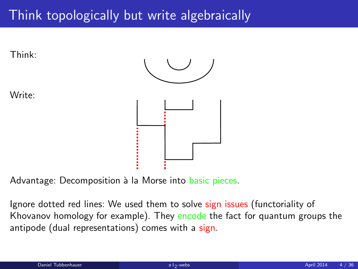# Think topologically but write algebraically



Advantage: Decomposition à la Morse into basic pieces.

Ignore dotted red lines: We used them to solve sign issues (functoriality of Khovanov homology for example). They encode the fact for quantum groups the antipode (dual representations) comes with a sign.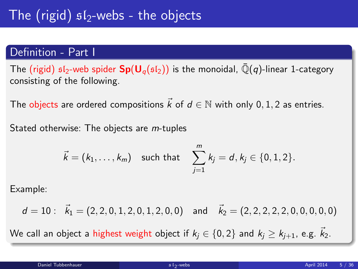### Definition - Part I

The (rigid)  $sI_2$ -web spider  $Sp(U_q(sI_2))$  is the monoidal,  $\overline{Q}(q)$ -linear 1-category consisting of the following.

The objects are ordered compositions  $\vec{k}$  of  $d \in \mathbb{N}$  with only 0, 1, 2 as entries.

Stated otherwise: The objects are *m*-tuples

$$
\vec{k} = (k_1, ..., k_m)
$$
 such that  $\sum_{j=1}^{m} k_j = d, k_j \in \{0, 1, 2\}.$ 

Example:

 $d = 10$ :  $\vec{k}_1 = (2, 2, 0, 1, 2, 0, 1, 2, 0, 0)$  and  $\vec{k}_2 = (2, 2, 2, 2, 2, 0, 0, 0, 0, 0)$ 

We call an object a highest weight object if  $k_i \in \{0, 2\}$  and  $k_i \geq k_{i+1}$ , e.g.  $\overline{k}_2$ .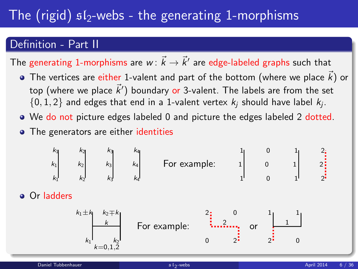# The (rigid)  $sI_2$ -webs - the generating 1-morphisms

### Definition - Part II

The generating 1-morphisms are  $w\colon \vec{k}\to \vec{k}'$  are edge-labeled graphs such that

- The vertices are either 1-valent and part of the bottom (where we place  $\vec{k}$ ) or top (where we place  $\vec{k}^{\prime}$ ) boundary or 3-valent. The labels are from the set  $\{0,1,2\}$  and edges that end in a 1-valent vertex  $k_j$  should have label  $k_j$ .
- We do not picture edges labeled 0 and picture the edges labeled 2 dotted.
- The generators are either identities

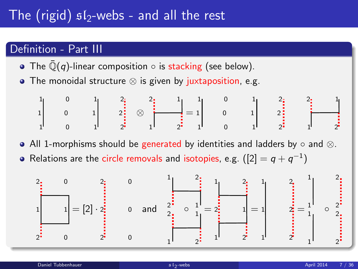## The (rigid)  $sI_2$ -webs - and all the rest

### Definition - Part III

- The  $\overline{\mathbb{Q}}(q)$ -linear composition  $\circ$  is stacking (see below).
- The monoidal structure ⊗ is given by juxtaposition, e.g.

1 0 1 2 1 0 1 2 1 0 1 2 ⊗ 1 2 2 1 = 1 0 1 2 1 0 1 2 1 0 1 2 1 2 2 1

• All 1-morphisms should be generated by identities and ladders by ∘ and ⊗.

Relations are the circle removals and isotopies, e.g.  $([2]=q+q^{-1})$ 

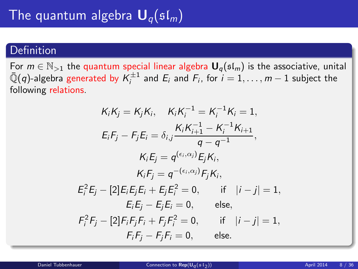### Definition

For  $m \in \mathbb{N}_{>1}$  the quantum special linear algebra  $\mathbf{U}_q(\mathfrak{sl}_m)$  is the associative, unital  $\bar{\mathbb{Q}}(q)$ -algebra generated by  $\mathcal{K}_i^{\pm 1}$  and  $E_i$  and  $F_i$ , for  $i=1,\ldots,m-1$  subject the following relations.

<span id="page-7-0"></span>
$$
K_{i}K_{j} = K_{j}K_{i}, \quad K_{i}K_{i}^{-1} = K_{i}^{-1}K_{i} = 1,
$$
\n
$$
E_{i}F_{j} - F_{j}E_{i} = \delta_{i,j} \frac{K_{i}K_{i+1}^{-1} - K_{i}^{-1}K_{i+1}}{q - q^{-1}},
$$
\n
$$
K_{i}E_{j} = q^{(\epsilon_{i},\alpha_{j})}E_{j}K_{i},
$$
\n
$$
K_{i}F_{j} = q^{-(\epsilon_{i},\alpha_{j})}F_{j}K_{i},
$$
\n
$$
E_{i}^{2}E_{j} - [2]E_{i}E_{j}E_{i} + E_{j}E_{i}^{2} = 0, \quad \text{if} \quad |i - j| = 1,
$$
\n
$$
E_{i}E_{j} - E_{j}E_{i} = 0, \quad \text{else},
$$
\n
$$
F_{i}^{2}F_{j} - [2]F_{i}F_{j}F_{i} + F_{j}F_{i}^{2} = 0, \quad \text{if} \quad |i - j| = 1,
$$
\n
$$
F_{i}F_{j} - F_{j}F_{i} = 0, \quad \text{else}.
$$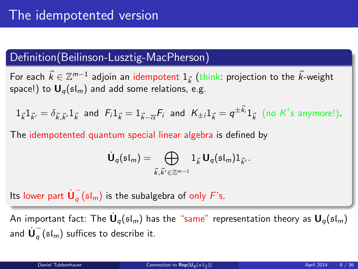### Definition(Beilinson-Lusztig-MacPherson)

For each  $\vec{k} \in \mathbb{Z}^{m-1}$  adjoin an idempotent  $1_{\vec{k}}$  (think: projection to the  $\vec{k}$ -weight space!) to  $U_q(\mathfrak{sl}_m)$  and add some relations, e.g.

$$
1_{\vec{k}}1_{\vec{k}'} = \delta_{\vec{k},\vec{k}'}1_{\vec{k}} \text{ and } F_i1_{\vec{k}} = 1_{\vec{k}-\overline{\alpha}}F_i \text{ and } K_{\pm i}1_{\vec{k}} = q^{\pm \vec{k}_i}1_{\vec{k}} \text{ (no } K's \text{ anymore!).}
$$

The idempotented quantum special linear algebra is defined by

$$
\dot{\mathbf{U}}_q(\mathfrak{sl}_m)=\bigoplus_{\vec{k},\vec{k}'\in\mathbb{Z}^{m-1}}1_{\vec{k}}\,\mathbf{U}_q(\mathfrak{sl}_m)1_{\vec{k}'}.
$$

Its lower part  $\dot{\mathsf{U}}_q^ _q$  ( $\mathfrak{sl}_m$ ) is the subalgebra of only  $F$ 's.

An important fact: The  $\dot{\mathsf{U}}_q(\mathfrak{sl}_m)$  has the "same" representation theory as  $\mathsf{U}_q(\mathfrak{sl}_m)$ and  $\dot{\mathsf{U}}_a^ _{q}$  ( $\mathfrak{sl}_{m}$ ) suffices to describe it.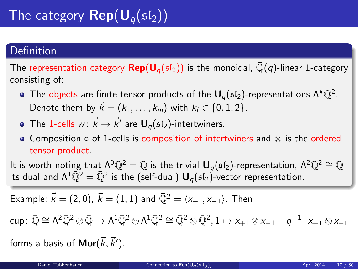### Definition

The representation category  $\mathsf{Rep}(\mathsf{U}_q(\mathfrak{sl}_2))$  is the monoidal,  $\bar{\mathbb{Q}}(q)$ -linear 1-category consisting of:

- The objects are finite tensor products of the  ${\bm \mathsf U}_q(\mathfrak{sl}_2)$ -representations  $\Lambda^k\bar{\mathbb Q}^2$ . Denote them by  $\vec{k} = (k_1, \ldots, k_m)$  with  $k_i \in \{0, 1, 2\}$ .
- The 1-cells  $w\colon \vec{k}\to \vec{k}'$  are  $\mathbf{U}_q(\mathfrak{sl}_2)$ -intertwiners.
- Composition  $\circ$  of 1-cells is composition of intertwiners and  $\otimes$  is the ordered tensor product.

It is worth noting that  $Λ^0\bar{Q}^2 = \bar{Q}$  is the trivial  $U_q$ ( $sI_2$ )-representation,  $Λ^2\bar{Q}^2 \cong \bar{Q}$ its dual and  $\Lambda^1\bar{\mathbb Q}^2=\bar{\mathbb Q}^2$  is the (self-dual)  ${\sf U}_q(\mathfrak{sl}_2)$ -vector representation.

Example: 
$$
\vec{k} = (2,0), \ \vec{k} = (1,1)
$$
 and  $\bar{Q}^2 = \langle x_{+1}, x_{-1} \rangle$ . Then

 $\mathsf{cup} \colon \bar{\mathbb{Q}} \cong \mathsf{\Lambda}^2\bar{\mathbb{Q}}^2 \otimes \bar{\mathbb{Q}} \to \mathsf{\Lambda}^1\bar{\mathbb{Q}}^2 \otimes \mathsf{\Lambda}^1\bar{\mathbb{Q}}^2 \cong \bar{\mathbb{Q}}^2 \otimes \bar{\mathbb{Q}}^2, 1 \mapsto \mathsf{x}_{+1} \otimes \mathsf{x}_{-1} - q^{-1}\cdot \mathsf{x}_{-1} \otimes \mathsf{x}_{+1}$ 

forms a basis of  $\mathsf{Mor}(\vec{k},\vec{k}^{\prime}).$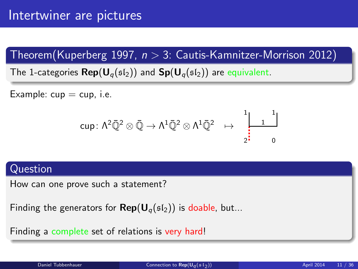Theorem(Kuperberg 1997,  $n > 3$ : Cautis-Kamnitzer-Morrison 2012)

The 1-categories  $\mathsf{Rep}(\mathsf{U}_{q}(\mathfrak{sl}_2))$  and  $\mathsf{Sp}(\mathsf{U}_{q}(\mathfrak{sl}_2))$  are equivalent.

Example:  $cup = cup$ , i.e.

$$
\text{cup} \colon \Lambda^2\bar{\mathbb{Q}}^2\otimes \bar{\mathbb{Q}} \to \Lambda^1\bar{\mathbb{Q}}^2\otimes \Lambda^1\bar{\mathbb{Q}}^2 \ \mapsto \ \begin{array}{c} \begin{matrix} 1\\ \ \\ \ \\ \ \end{matrix} & \begin{matrix} 1\\ \ \\ \ \end{matrix} \\ \begin{matrix} 1\\ \ \\ \ \end{matrix} & \begin{matrix} 1\\ \ \\ \ \end{matrix} \end{array}
$$

#### Question

How can one prove such a statement?

Finding the generators for  $\mathsf{Rep}(\mathsf{U}_q(\mathfrak{sl}_2))$  is doable, but...

Finding a complete set of relations is very hard!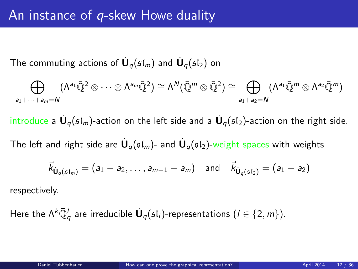The commuting actions of  $\dot{\mathsf{U}}_q(\mathfrak{sl}_m)$  and  $\dot{\mathsf{U}}_q(\mathfrak{sl}_2)$  on

$$
\bigoplus_{a_1+\cdots+a_m=N}(\Lambda^{a_1}\bar{\mathbb{Q}}^2\otimes\cdots\otimes\Lambda^{a_m}\bar{\mathbb{Q}}^2)\cong\Lambda^N(\bar{\mathbb{Q}}^m\otimes\bar{\mathbb{Q}}^2)\cong\bigoplus_{a_1+a_2=N}(\Lambda^{a_1}\bar{\mathbb{Q}}^m\otimes\Lambda^{a_2}\bar{\mathbb{Q}}^m)
$$

introduce a  $\dot{\mathsf{U}}_q(\mathfrak{sl}_m)$ -action on the left side and a  $\dot{\mathsf{U}}_q(\mathfrak{sl}_2)$ -action on the right side.

The left and right side are  $\dot{\mathsf{U}}_q(\mathfrak{sl}_m)$ - and  $\dot{\mathsf{U}}_q(\mathfrak{sl}_2)$ -weight spaces with weights

<span id="page-11-0"></span>
$$
\vec{k}_{\dot{\mathbf{U}}_q(\mathfrak{sl}_m)} = (a_1 - a_2, \ldots, a_{m-1} - a_m) \text{ and } \vec{k}_{\dot{\mathbf{U}}_q(\mathfrak{sl}_2)} = (a_1 - a_2)
$$

respectively.

Here the  $\Lambda^k {\bar{\Bbb Q}}^l_q$  are irreducible  $\dot{{\bf U}}_q(\frak{sl}_l)$ -representations  $(l\in \{2,m\}).$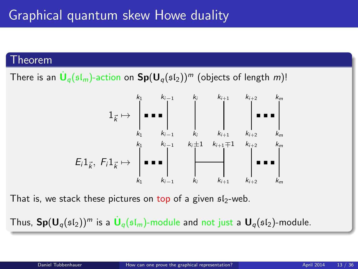#### Theorem

There is an  $\dot{\mathsf{U}}_q(\mathfrak{sl}_m)$ -action on  $\mathsf{Sp}(\mathsf{U}_q(\mathfrak{sl}_2))^m$  (objects of length  $m)!$ 



That is, we stack these pictures on top of a given  $s1_2$ -web.

Thus,  $\mathsf{Sp}(\mathsf{U}_q(\mathfrak{sl}_2))^m$  is a  $\dot{\mathsf{U}}_q(\mathfrak{sl}_m)$ -module and not just a  $\mathsf{U}_q(\mathfrak{sl}_2)$ -module.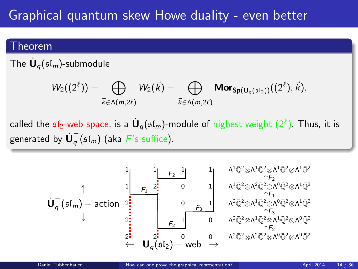# Graphical quantum skew Howe duality - even better

#### Theorem

The  $\dot{\mathbf U}_q(\mathfrak{sl}_m)$ -submodule

$$
W_2((2^\ell))=\bigoplus_{\vec{k}\in \Lambda(m,2\ell)}W_2(\vec{k})=\bigoplus_{\vec{k}\in \Lambda(m,2\ell)}\text{Mor}_{\text{Sp}(U_q(\mathfrak{sl}_2))}((2^\ell),\vec{k}),
$$

called the  $\mathfrak{sl}_2$ -web space, is a  $\dot{\mathsf{U}}_q(\mathfrak{sl}_m)$ -module of highest weight  $(2^\ell)$ . Thus, it is generated by  $\dot{\bm{\mathsf{U}}}_q^ _{q}$  ( $\mathfrak{sl}_{m}$ ) (aka  $F$ 's suffice).

$$
\mathbf{U}_q^-(\mathfrak{sl}_m)-\text{action}\begin{array}{c}1\\ \uparrow\\ \downarrow\\ 2\\ \downarrow\\ \end{array}\begin{array}{c}1\\ \begin{array}{c}1\\ \vdots\\ \rule{0mm}{3mm}F_2\end{array}\begin{array}{c}1\\ \vdots\\ \rule{0mm}{3mm}F_2\end{array}\begin{array}{c}1\\ \vdots\\ \rule{0mm}{3mm}F_2\end{array}\begin{array}{c}1\\ \vdots\\ \rule{0mm}{3mm}F_2\end{array}\begin{array}{c}1\\ \vdots\\ \rule{0mm}{3mm}F_2\end{array}\begin{array}{c}1\\ \vdots\\ \rule{0mm}{3mm}F_2\end{array}\begin{array}{c}1\\ \vdots\\ \rule{0mm}{3mm}F_2\end{array}\begin{array}{c}1\\ \vdots\\ \rule{0mm}{3mm}F_2\end{array}\begin{array}{c}1\\ \vdots\\ \rule{0mm}{3mm}F_2\end{array}\begin{array}{c}1\\ \vdots\\ \rule{0mm}{3mm}F_2\end{array}\begin{array}{c}1\\ \vdots\\ \rule{0mm}{3mm}F_2\end{array}\begin{array}{c}1\\ \vdots\\ \rule{0mm}{3mm}F_2\end{array}\begin{array}{c}1\\ \vdots\\ \rule{0mm}{3mm}F_2\end{array}\begin{array}{c}1\\ \vdots\\ \rule{0mm}{3mm}F_2\end{array}\begin{array}{c}1\\ \vdots\\ \rule{0mm}{3mm}F_2\end{array}\begin{array}{c}1\\ \vdots\\ \rule{0mm}{3mm}F_2\end{array}\begin{array}{c}1\\ \vdots\\ \rule{0mm}{3mm}F_2\end{array}\begin{array}{c}1\\ \vdots\\ \rule{0mm}{3mm}F_2\end{array}\begin{array}{c}1\\ \vdots\\ \rule{0mm}{3mm}F_2\end{array}\begin{array}{c}1\\ \vdots\\ \rule{0mm}{3mm}F_2\end{array}\begin{array}{c}1\\ \vdots\\ \rule{0mm}{3mm}F_2\end{array}\begin{array}{c}1\\ \vdots\\ \rule{0mm}{3mm}F_2\end{array}\begin{array}{c}1\\ \vdots\\ \rule{0mm}{3mm}F_2\end{array}\begin{array}{c}1\\ \vdots\\ \rule{0mm}{3mm}F_2\end{array}\begin{array}{
$$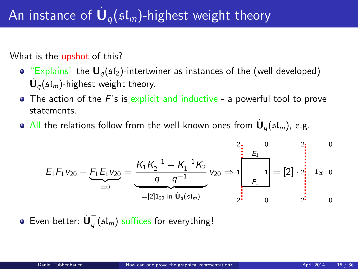# An instance of  $\dot{\mathbf U}_q(\mathfrak{sl}_m)$ -highest weight theory

What is the upshot of this?

- "Explains" the  $U_q(sI_2)$ -intertwiner as instances of the (well developed)  $\dot{\mathbf{U}}_q(\mathfrak{sl}_m)$ -highest weight theory.
- $\bullet$  The action of the F's is explicit and inductive a powerful tool to prove statements.
- All the relations follow from the well-known ones from  $\dot{\mathbf U}_q(\mathfrak{sl}_m)$ , e.g.

$$
E_1F_1v_{20}-E_1E_1v_{20}=\underbrace{\frac{K_1K_2^{-1}-K_1^{-1}K_2}{q-q^{-1}}}_{=[2]1_{20} \text{ in } \dot{U}_q(\mathfrak{sl}_m)}v_{20}\Rightarrow 1\begin{bmatrix}0&2\\E_1\\E_1\\F_1\end{bmatrix}=[2]\cdot \begin{bmatrix}0&2\\2\end{bmatrix}
$$
1<sub>20</sub> 0

Even better:  $\dot{\mathbf{U}}_a^ _q$  ( $\mathfrak{sl}_m$ ) suffices for everything!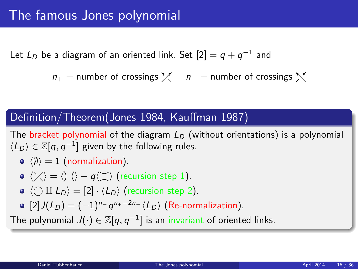Let  $L_D$  be a diagram of an oriented link. Set  $[2]=q+q^{-1}$  and

 $n_{+}$  = number of crossings  $\chi$  n<sub>−</sub> = number of crossings  $\chi$ 

### Definition/Theorem(Jones 1984, Kauffman 1987)

The bracket polynomial of the diagram  $L<sub>D</sub>$  (without orientations) is a polynomial  $\langle L_D \rangle \in \mathbb{Z}[q,q^{-1}]$  given by the following rules.

 $\langle \emptyset \rangle = 1$  (normalization).

• 
$$
\langle \rangle \langle \rangle = \langle \rangle
$$
  $\langle \rangle - q \langle \rangle$  (recursion step 1).

- $\bullet \langle \bigcirc \amalg L_D \rangle = [2] \cdot \langle L_D \rangle$  (recursion step 2).
- <span id="page-15-0"></span> $[2]J(L_D) = (-1)^{n_{-}} q^{n_{+}-2n_{-}} \langle L_D \rangle$  (Re-normalization).

The polynomial  $J(\cdot)\in \mathbb{Z}[q,q^{-1}]$  is an invariant of oriented links.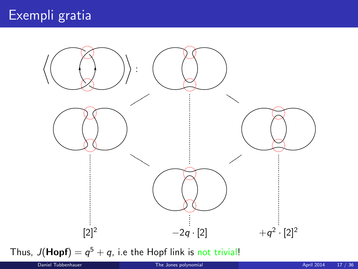

Thus,  $J(Hopf) = q^5 + q$ , i.e the Hopf link is not trivial!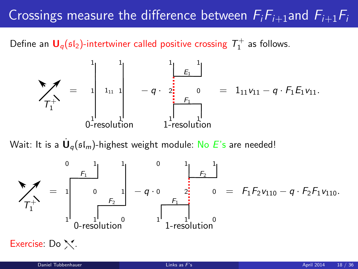# Crossings measure the difference between  $F_iF_{i+1}$ and  $F_{i+1}F_i$

Define an  $\mathbf{U}_q(\mathfrak{sl}_2)$ -intertwiner called positive crossing  $\mathcal{T}_1^+$  as follows.



Wait: It is a  $\dot{\textbf U}_q(\mathfrak{sl}_m)$ -highest weight module: <mark>No  $E$ 's are needed!</mark>

<span id="page-17-0"></span>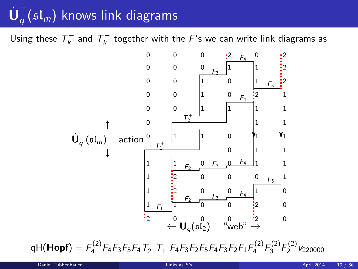#### $\dot{\mathsf{U}}_a^+$  $_{q}\left( \frak{sl}_{m}\right)$  knows link diagrams

Using these  $\mathcal{T}^+_k$  and  $\mathcal{T}^-_k$  together with the  $F$ 's we can write link diagrams as



 $\mathsf{qH}(\mathsf{Hopf})= \mathsf{F}_4^{(2)} \mathsf{F}_4 \mathsf{F}_3 \mathsf{F}_5 \mathsf{F}_4 \mathsf{T}_2^+ \mathsf{T}_1^+ \mathsf{F}_4 \mathsf{F}_3 \mathsf{F}_2 \mathsf{F}_5 \mathsf{F}_4 \mathsf{F}_3 \mathsf{F}_2 \mathsf{F}_1 \mathsf{F}_4^{(2)} \mathsf{F}_3^{(2)} \mathsf{F}_2^{(2)} \mathsf{v}_{220000}.$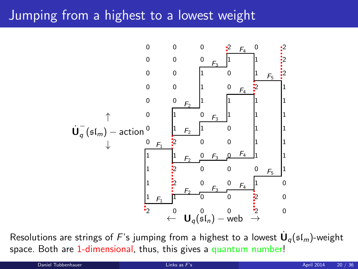## Jumping from a highest to a lowest weight



Resolutions are strings of  $F$ 's jumping from a highest to a lowest  $\dot{\mathsf{U}}_q(\mathfrak{sl}_m)$ -weight space. Both are 1-dimensional, thus, this gives a quantum number!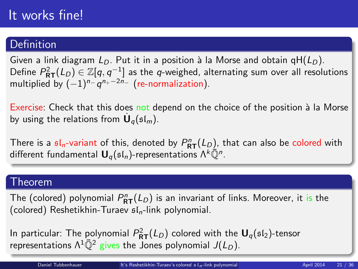# It works fine!

### Definition

Given a link diagram  $L_D$ . Put it in a position à la Morse and obtain  $gH(L_D)$ . Define  $P^2_{\bf RT}(L_D)\in \mathbb Z[q,q^{-1}]$  as the  $q$ -weighed, alternating sum over all resolutions multiplied by  $(-1)^{n-1} q^{n_+-2n_-}$  (re-normalization).

Exercise: Check that this does not depend on the choice of the position à la Morse by using the relations from  $\dot{\mathbf{U}}_q(\mathfrak{sl}_m)$ .

There is a  $\mathfrak{sl}_n$ -variant of this, denoted by  $P^n_{\bf RT}(L_D)$ , that can also be colored with different fundamental  $\mathbf{U}_q(\mathfrak{sl}_n)$ -representations  $\Lambda^k\bar{\mathbb{Q}}^n$ .

#### Theorem

The (colored) polynomial  $P^n_{\mathsf{RT}}(L_D)$  is an invariant of links. Moreover, it is the (colored) Reshetikhin-Turaev  $sI_n$ -link polynomial.

<span id="page-20-0"></span>In particular: The polynomial  $P^2_{\bf RT}(L_D)$  colored with the  ${\bf U}_q(\mathfrak{sl}_2)$ -tensor representations  $\Lambda^1 \overline{\mathbb{O}}^2$  gives the Jones polynomial  $J(L_D)$ .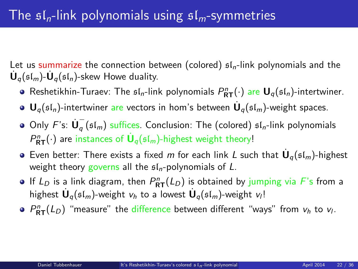Let us summarize the connection between (colored)  $sI_n$ -link polynomials and the  $\dot{\mathbf{U}}_q(\mathfrak{sl}_m)$ - $\dot{\mathbf{U}}_q(\mathfrak{sl}_n)$ -skew Howe duality.

- Reshetikhin-Turaev: The  $\mathfrak{sl}_n$ -link polynomials  $P^n_{\mathsf{RT}}(\cdot)$  are  $\mathsf{U}_q(\mathfrak{sl}_n)$ -intertwiner.
- ${\mathbf U}_q(\mathfrak{sl}_n)$ -intertwiner are vectors in hom's between  $\dot{{\mathbf U}}_q(\mathfrak{sl}_m)$ -weight spaces.
- Only  $F$ 's:  $\dot{\mathbf{U}}_q^ _{q}$  ( $\mathfrak{sl}_{m}$ ) suffices. Conclusion: The (colored)  $\mathfrak{sl}_{n}$ -link polynomials  $P^n_{\mathsf{RT}}(\cdot)$  are instances of  $\mathsf{U}_q(\mathfrak{sl}_m)$ -highest weight theory!
- Even better: There exists a fixed m for each link L such that  $\dot{\mathbf{U}}_q(\mathfrak{sl}_m)$ -highest weight theory governs all the  $sL$ -polynomials of L.
- If  $L_D$  is a link diagram, then  $P^n_{\mathsf{RT}}(L_D)$  is obtained by jumping via F's from a highest  $\dot{\mathbf U}_q(\mathfrak{sl}_m)$ -weight  $v_h$  to a lowest  $\dot{\mathbf U}_q(\mathfrak{sl}_m)$ -weight  $v_l!$
- $P_{\mathsf{RT}}^n(L_D)$  "measure" the difference between different "ways" from  $v_h$  to  $v_l$ .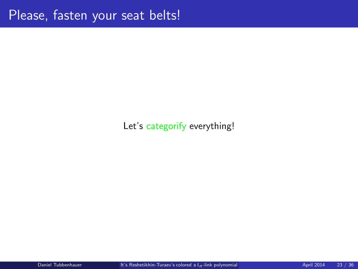### Let's categorify everything!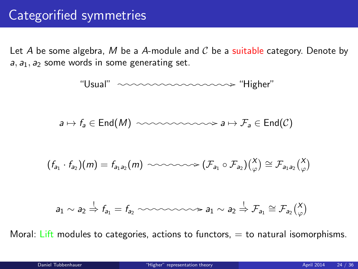Let A be some algebra, M be a A-module and  $C$  be a suitable category. Denote by  $a_1, a_2$  some words in some generating set.



<span id="page-23-0"></span>Moral: Lift modules to categories, actions to functors,  $=$  to natural isomorphisms.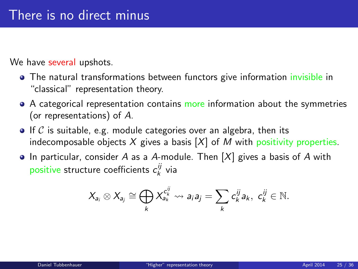We have several upshots.

- The natural transformations between functors give information invisible in "classical" representation theory.
- A categorical representation contains more information about the symmetries (or representations) of A.
- $\bullet$  If C is suitable, e.g. module categories over an algebra, then its indecomposable objects  $X$  gives a basis  $[X]$  of M with positivity properties.
- $\bullet$  In particular, consider A as a A-module. Then  $[X]$  gives a basis of A with positive structure coefficients  $c_k^{ij}$  via

$$
X_{a_i} \otimes X_{a_j} \cong \bigoplus_k X_{a_k}^{c_k^{ij}} \rightsquigarrow a_i a_j = \sum_k c_k^{ij} a_k, \ c_k^{ij} \in \mathbb{N}.
$$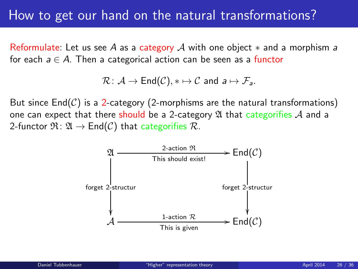## How to get our hand on the natural transformations?

Reformulate: Let us see A as a category A with one object  $*$  and a morphism a for each  $a \in A$ . Then a categorical action can be seen as a functor

$$
\mathcal{R}\colon \mathcal{A}\to \mathsf{End}(\mathcal{C}), *\mapsto \mathcal{C} \text{ and } a\mapsto \mathcal{F}_a.
$$

But since  $End(\mathcal{C})$  is a 2-category (2-morphisms are the natural transformations) one can expect that there should be a 2-category  $\mathfrak A$  that categorifies  $\mathcal A$  and a 2-functor  $\mathfrak{R} : \mathfrak{A} \to \mathsf{End}(\mathcal{C})$  that categorifies  $\mathcal{R}$ .

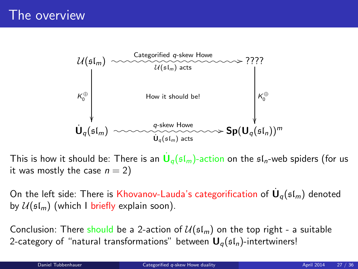

This is how it should be: There is an  $\dot{\mathsf{U}}_q(\mathfrak{sl}_m)$ -action on the  $\mathfrak{sl}_n$ -web spiders (for us it was mostly the case  $n = 2$ )

On the left side: There is Khovanov-Lauda's categorification of  $\dot{\mathsf{U}}_q(\mathfrak{sl}_m)$  denoted by  $\mathcal{U}(\mathfrak{sl}_m)$  (which I briefly explain soon).

<span id="page-26-0"></span>Conclusion: There should be a 2-action of  $U(s_m)$  on the top right - a suitable 2-category of "natural transformations" between  $U_{\alpha}(\mathfrak{sl}_n)$ -intertwiners!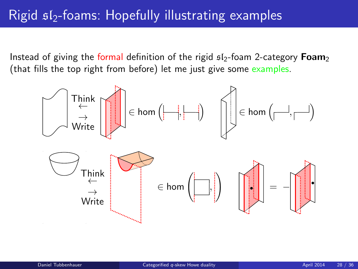# Rigid  $\mathfrak{sl}_2$ -foams: Hopefully illustrating examples

Instead of giving the formal definition of the rigid  $s/s$ -foam 2-category **Foam**<sub>2</sub> (that fills the top right from before) let me just give some examples.

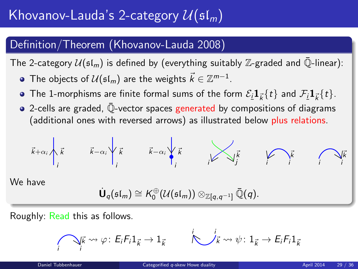# Khovanov-Lauda's 2-category  $\mathcal{U}(\mathfrak{sl}_m)$

### Definition/Theorem (Khovanov-Lauda 2008)

The 2-category  $U(\mathfrak{sl}_m)$  is defined by (everything suitably Z-graded and  $\bar{\mathbb{Q}}$ -linear):

- The objects of  $\mathcal{U}(\mathfrak{sl}_m)$  are the weights  $\vec{k} \in \mathbb{Z}^{m-1}.$
- The 1-morphisms are finite formal sums of the form  $\mathcal{E}_{I}\mathbf{1}_{\vec{k}}\{t\}$  and  $\mathcal{F}_{I}\mathbf{1}_{\vec{k}}\{t\}.$
- $\bullet$  2-cells are graded,  $\overline{\mathbb{Q}}$ -vector spaces generated by compositions of diagrams (additional ones with reversed arrows) as illustrated below plus relations.

$$
\vec{k}+\alpha_i\lambda_i\vec{k} \qquad \vec{k}-\alpha_i\lambda_i\vec{k} \qquad \vec{k}-\alpha_i\lambda_i\vec{k} \qquad \lambda_i\vec{k} \qquad \lambda_i\vec{k} \qquad \lambda_i\vec{k}
$$

We have

$$
\dot{\mathbf{U}}_q(\mathfrak{sl}_m)\cong K_0^{\oplus}(\mathcal{U}(\mathfrak{sl}_m))\otimes_{\mathbb{Z}[q,q^{-1}]}\bar{\mathbb{Q}}(q).
$$

Roughly: Read this as follows.

$$
\bigcap_{\vec{i}} \vec{k} \rightsquigarrow \varphi \colon E_i F_i 1_{\vec{k}} \rightarrow 1_{\vec{k}} \qquad \bigotimes_{\vec{k}} \vec{i} \rightsquigarrow \psi \colon 1_{\vec{k}} \rightarrow E_i F_i 1_{\vec{k}}
$$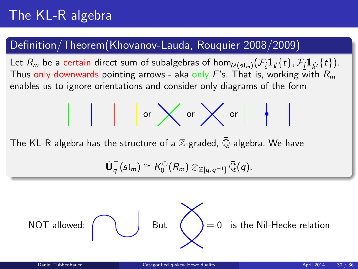### Definition/Theorem(Khovanov-Lauda, Rouquier 2008/2009)

Let  $R_m$  be a certain direct sum of subalgebras of  $\hom_{\mathcal{U}(\mathfrak{sl}_m)}(\mathcal{F}_i \mathbf{1}_{\vec{k}}\{t\},\mathcal{F}_j\mathbf{1}_{\vec{k}'}\{t\}).$ Thus only downwards pointing arrows - aka only F's. That is, working with  $R_m$ enables us to ignore orientations and consider only diagrams of the form

or or or

The KL-R algebra has the structure of a  $\mathbb Z$ -graded,  $\mathbb Q$ -algebra. We have

$$
\dot{\mathsf{U}}_q^-(\mathfrak{sl}_m) \cong \mathsf{K}^{\oplus}_0(R_m) \otimes_{\mathbb{Z}[q,q^{-1}]} \bar{\mathbb{Q}}(q).
$$

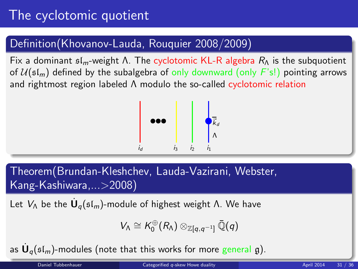# The cyclotomic quotient

### Definition(Khovanov-Lauda, Rouquier 2008/2009)

Fix a dominant  $\mathfrak{sl}_m$ -weight Λ. The cyclotomic KL-R algebra  $R_\Lambda$  is the subquotient of  $U(\mathfrak{sl}_m)$  defined by the subalgebra of only downward (only  $F(\mathfrak{sl})$ ) pointing arrows and rightmost region labeled Λ modulo the so-called cyclotomic relation



Theorem(Brundan-Kleshchev, Lauda-Vazirani, Webster, Kang-Kashiwara,...>2008)

Let  $V_\Lambda$  be the  $\dot{\mathbf U}_q(\mathfrak{sl}_m)$ -module of highest weight Λ. We have

$$
V_\Lambda\cong \mathcal{K}_0^\oplus(\mathit{R}_\Lambda)\otimes_{\mathbb{Z}[q,q^{-1}]}\bar{\mathbb{Q}}(q)
$$

as  $\dot{\mathsf{U}}_q(\mathfrak{sl}_m)$ -modules (note that this works for more general  $\mathfrak{g}$ ).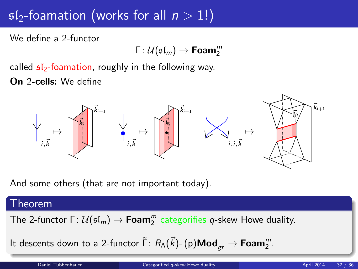# $sI_2$ -foamation (works for all  $n > 1!$ )

We define a 2-functor

 $\mathsf{\Gamma} \colon \mathcal{U}(\mathfrak{sl}_m) \rightarrow \mathsf{Foam}_2^m$ 

called  $sI_2$ -foamation, roughly in the following way.

On 2-cells: We define



And some others (that are not important today).

#### Theorem

The 2-functor  $\Gamma\colon\mathcal{U}(\mathfrak{sl}_m)\to \mathsf{Foam}_2^m$  categorifies  $q$ -skew Howe duality.

It descents down to a 2-functor  $\tilde{\Gamma} \colon R_\Lambda(\vec{k})$ -  $\mathsf{(p)}\mathsf{Mod}_{\mathsf{gr}} \to \mathsf{Foam}_2^m.$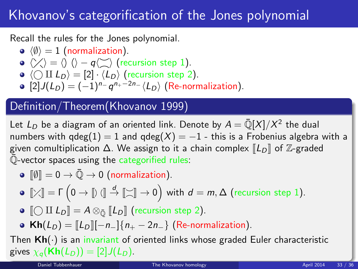# Khovanov's categorification of the Jones polynomial

Recall the rules for the Jones polynomial.

- $\langle \emptyset \rangle = 1$  (normalization).
- $\langle \rangle \langle \rangle = \langle \rangle$   $\langle \rangle q \langle \rangle \rangle$  (recursion step 1).
- $\bullet \langle \bigcirc \amalg L_D \rangle = [2] \cdot \langle L_D \rangle$  (recursion step 2).
- $[2]J(L_D) = (-1)^{n_{-}} q^{n_{+}-2n_{-}} \langle L_D \rangle$  (Re-normalization).

### Definition/Theorem(Khovanov 1999)

Let  $L_D$  be a diagram of an oriented link. Denote by  $A = \bar{\mathbb{Q}}[X]/X^2$  the dual numbers with  $qdeg(1) = 1$  and  $qdeg(X) = -1$  - this is a Frobenius algebra with a given comultiplication  $\Delta$ . We assign to it a chain complex  $\llbracket L_D \rrbracket$  of  $\mathbb{Z}$ -graded  $\overline{\mathbb{Q}}$ -vector spaces using the categorified rules:

 $\bullet$   $\lbrack \emptyset \rbrack = 0 \rightarrow \bar{\mathbb{Q}} \rightarrow 0$  (normalization).

$$
\bullet\ \llbracket\text{\footnotesize{\times}}\rrbracket=\Gamma\left(0\rightarrow\llbracket\text{\footnotesize{\textbackslash}}\rrbracket\stackrel{d}{\rightarrow}\llbracket\text{\footnotesize{\textbackslash}}\rrbracket\rightarrow 0\right)\text{ with }d=m,\Delta\text{ (recursion step 1)}.
$$

- $\bullet$   $\llbracket \bigcirc \text{II} \ L_D \rrbracket = A \otimes_{\bar{\mathbb{Q}}} \llbracket L_D \rrbracket$  (recursion step 2).
- <span id="page-32-0"></span>• Kh( $L_D$ ) =  $\|L_D\|[-n_-\]\{n_+ - 2n_-\}$  (Re-normalization).

Then  $Kh(\cdot)$  is an invariant of oriented links whose graded Euler characteristic gives  $\chi_q(\mathbf{Kh}(L_D)) = [2]J(L_D)$ .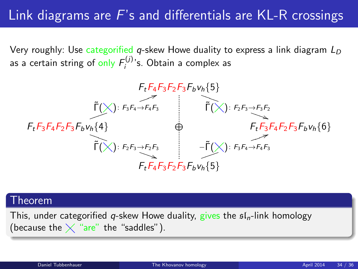# Link diagrams are  $F$ 's and differentials are KL-R crossings

Very roughly: Use categorified *q*-skew Howe duality to express a link diagram  $L_D$ as a certain string of only  $F_i^{(j)}$  $i_j^{(U)}$ 's. Obtain a complex as



#### Theorem

This, under categorified q-skew Howe duality, gives the  $\mathfrak{sl}_n$ -link homology (because the  $\times$  "are" the "saddles").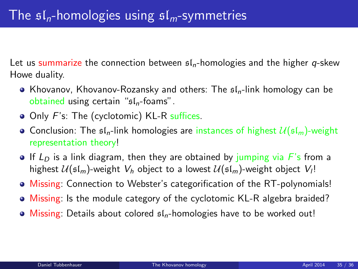Let us summarize the connection between  $f_n$ -homologies and the higher q-skew Howe duality.

- Khovanov, Khovanov-Rozansky and others: The  $\mathfrak{sl}_n$ -link homology can be obtained using certain " $sI_n$ -foams".
- Only F's: The (cyclotomic) KL-R suffices.
- Conclusion: The  $\mathfrak{sl}_n$ -link homologies are instances of highest  $\mathcal{U}(\mathfrak{sl}_m)$ -weight representation theory!
- If  $L<sub>D</sub>$  is a link diagram, then they are obtained by jumping via F's from a highest  $U(\mathfrak{sl}_m)$ -weight  $V_h$  object to a lowest  $U(\mathfrak{sl}_m)$ -weight object  $V_l!$
- Missing: Connection to Webster's categorification of the RT-polynomials!
- Missing: Is the module category of the cyclotomic KL-R algebra braided?
- $\bullet$  Missing: Details about colored  $sI_n$ -homologies have to be worked out!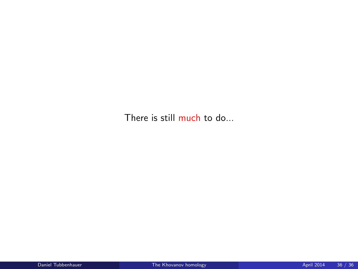There is still much to do...